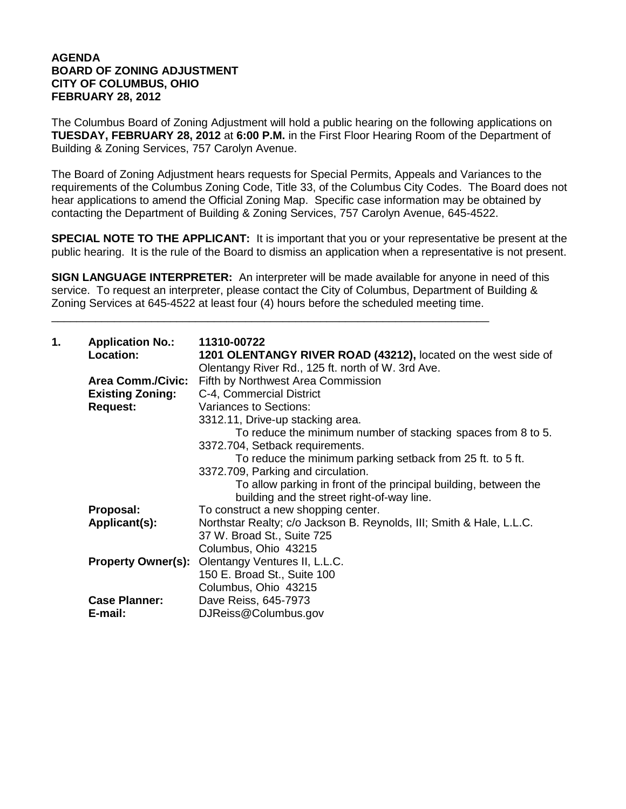## **AGENDA BOARD OF ZONING ADJUSTMENT CITY OF COLUMBUS, OHIO FEBRUARY 28, 2012**

The Columbus Board of Zoning Adjustment will hold a public hearing on the following applications on **TUESDAY, FEBRUARY 28, 2012** at **6:00 P.M.** in the First Floor Hearing Room of the Department of Building & Zoning Services, 757 Carolyn Avenue.

The Board of Zoning Adjustment hears requests for Special Permits, Appeals and Variances to the requirements of the Columbus Zoning Code, Title 33, of the Columbus City Codes. The Board does not hear applications to amend the Official Zoning Map. Specific case information may be obtained by contacting the Department of Building & Zoning Services, 757 Carolyn Avenue, 645-4522.

**SPECIAL NOTE TO THE APPLICANT:** It is important that you or your representative be present at the public hearing. It is the rule of the Board to dismiss an application when a representative is not present.

**SIGN LANGUAGE INTERPRETER:** An interpreter will be made available for anyone in need of this service. To request an interpreter, please contact the City of Columbus, Department of Building & Zoning Services at 645-4522 at least four (4) hours before the scheduled meeting time.

\_\_\_\_\_\_\_\_\_\_\_\_\_\_\_\_\_\_\_\_\_\_\_\_\_\_\_\_\_\_\_\_\_\_\_\_\_\_\_\_\_\_\_\_\_\_\_\_\_\_\_\_\_\_\_\_\_\_\_\_\_\_\_\_\_\_\_\_\_\_

| <b>Application No.:</b>   | 11310-00722                                                                                                 |
|---------------------------|-------------------------------------------------------------------------------------------------------------|
|                           | 1201 OLENTANGY RIVER ROAD (43212), located on the west side of                                              |
|                           | Olentangy River Rd., 125 ft. north of W. 3rd Ave.                                                           |
|                           | Fifth by Northwest Area Commission                                                                          |
|                           | C-4, Commercial District                                                                                    |
|                           | Variances to Sections:                                                                                      |
|                           | 3312.11, Drive-up stacking area.                                                                            |
|                           | To reduce the minimum number of stacking spaces from 8 to 5.                                                |
|                           | 3372.704, Setback requirements.                                                                             |
|                           | To reduce the minimum parking setback from 25 ft. to 5 ft.                                                  |
|                           | 3372.709, Parking and circulation.                                                                          |
|                           | To allow parking in front of the principal building, between the                                            |
|                           | building and the street right-of-way line.                                                                  |
| Proposal:                 | To construct a new shopping center.                                                                         |
| Applicant(s):             | Northstar Realty; c/o Jackson B. Reynolds, III; Smith & Hale, L.L.C.                                        |
|                           | 37 W. Broad St., Suite 725                                                                                  |
|                           | Columbus, Ohio 43215                                                                                        |
| <b>Property Owner(s):</b> | Olentangy Ventures II, L.L.C.                                                                               |
|                           | 150 E. Broad St., Suite 100                                                                                 |
|                           | Columbus, Ohio 43215                                                                                        |
|                           | Dave Reiss, 645-7973                                                                                        |
| E-mail:                   | DJReiss@Columbus.gov                                                                                        |
|                           | Location:<br><b>Area Comm./Civic:</b><br><b>Existing Zoning:</b><br><b>Request:</b><br><b>Case Planner:</b> |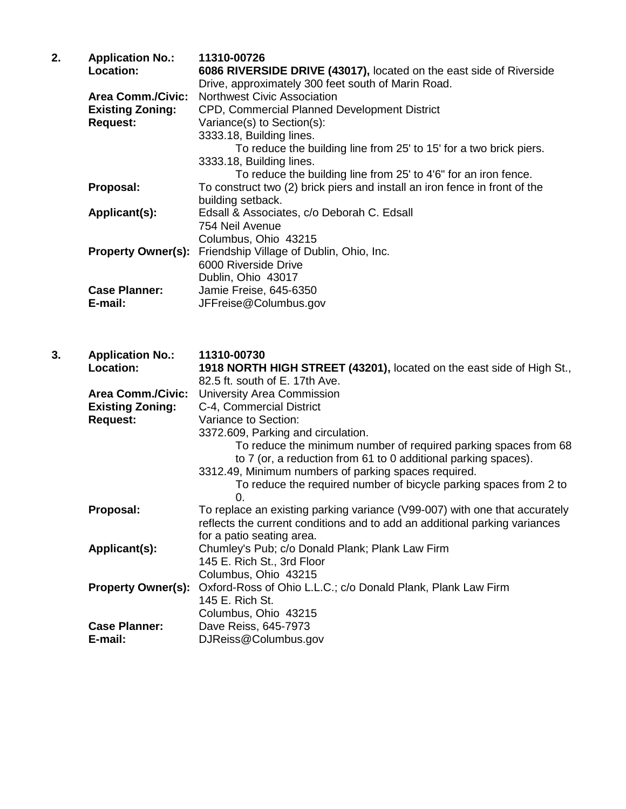| 2. | <b>Application No.:</b><br>Location: | 11310-00726<br>6086 RIVERSIDE DRIVE (43017), located on the east side of Riverside                      |
|----|--------------------------------------|---------------------------------------------------------------------------------------------------------|
|    |                                      | Drive, approximately 300 feet south of Marin Road.                                                      |
|    | <b>Area Comm./Civic:</b>             | <b>Northwest Civic Association</b>                                                                      |
|    | <b>Existing Zoning:</b>              | CPD, Commercial Planned Development District                                                            |
|    | <b>Request:</b>                      | Variance(s) to Section(s):                                                                              |
|    |                                      | 3333.18, Building lines.                                                                                |
|    |                                      | To reduce the building line from 25' to 15' for a two brick piers.                                      |
|    |                                      | 3333.18, Building lines.                                                                                |
|    |                                      | To reduce the building line from 25' to 4'6" for an iron fence.                                         |
|    | Proposal:                            | To construct two (2) brick piers and install an iron fence in front of the                              |
|    |                                      | building setback.                                                                                       |
|    | Applicant(s):                        | Edsall & Associates, c/o Deborah C. Edsall                                                              |
|    |                                      | 754 Neil Avenue                                                                                         |
|    |                                      | Columbus, Ohio 43215                                                                                    |
|    | <b>Property Owner(s):</b>            | Friendship Village of Dublin, Ohio, Inc.                                                                |
|    |                                      | 6000 Riverside Drive                                                                                    |
|    |                                      | Dublin, Ohio 43017                                                                                      |
|    | <b>Case Planner:</b>                 | Jamie Freise, 645-6350                                                                                  |
|    | E-mail:                              | JFFreise@Columbus.gov                                                                                   |
|    |                                      |                                                                                                         |
| 3. | <b>Application No.:</b>              | 11310-00730                                                                                             |
|    | Location:                            | 1918 NORTH HIGH STREET (43201), located on the east side of High S<br>$0.25 + 0.01 + 0.65 = 1.7 + 0.10$ |

| Location:                 | 1918 NORTH HIGH STREET (43201), located on the east side of High St.,      |
|---------------------------|----------------------------------------------------------------------------|
|                           | 82.5 ft. south of E. 17th Ave.                                             |
| <b>Area Comm./Civic:</b>  | <b>University Area Commission</b>                                          |
| <b>Existing Zoning:</b>   | C-4, Commercial District                                                   |
| <b>Request:</b>           | Variance to Section:                                                       |
|                           | 3372.609, Parking and circulation.                                         |
|                           | To reduce the minimum number of required parking spaces from 68            |
|                           | to 7 (or, a reduction from 61 to 0 additional parking spaces).             |
|                           | 3312.49, Minimum numbers of parking spaces required.                       |
|                           | To reduce the required number of bicycle parking spaces from 2 to          |
|                           | 0.                                                                         |
| Proposal:                 | To replace an existing parking variance (V99-007) with one that accurately |
|                           | reflects the current conditions and to add an additional parking variances |
|                           | for a patio seating area.                                                  |
| Applicant(s):             | Chumley's Pub; c/o Donald Plank; Plank Law Firm                            |
|                           | 145 E. Rich St., 3rd Floor                                                 |
|                           | Columbus, Ohio 43215                                                       |
| <b>Property Owner(s):</b> | Oxford-Ross of Ohio L.L.C.; c/o Donald Plank, Plank Law Firm               |
|                           | 145 E. Rich St.                                                            |
|                           | Columbus, Ohio 43215                                                       |
| <b>Case Planner:</b>      | Dave Reiss, 645-7973                                                       |
| E-mail:                   | DJReiss@Columbus.gov                                                       |
|                           |                                                                            |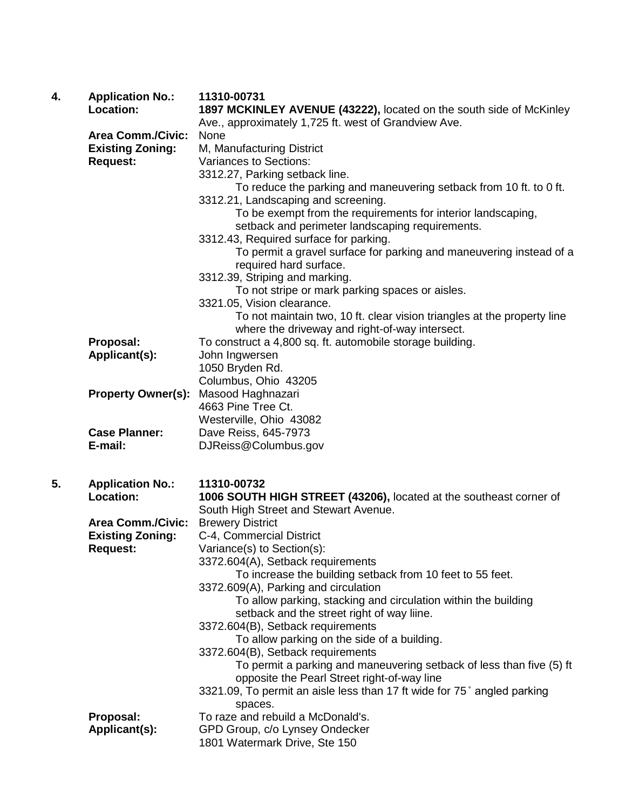| 4. | <b>Application No.:</b><br><b>Location:</b>         | 11310-00731<br>1897 MCKINLEY AVENUE (43222), located on the south side of McKinley |
|----|-----------------------------------------------------|------------------------------------------------------------------------------------|
|    |                                                     | Ave., approximately 1,725 ft. west of Grandview Ave.<br>None                       |
|    | <b>Area Comm./Civic:</b><br><b>Existing Zoning:</b> | M, Manufacturing District                                                          |
|    | <b>Request:</b>                                     | Variances to Sections:                                                             |
|    |                                                     | 3312.27, Parking setback line.                                                     |
|    |                                                     | To reduce the parking and maneuvering setback from 10 ft. to 0 ft.                 |
|    |                                                     | 3312.21, Landscaping and screening.                                                |
|    |                                                     | To be exempt from the requirements for interior landscaping,                       |
|    |                                                     | setback and perimeter landscaping requirements.                                    |
|    |                                                     | 3312.43, Required surface for parking.                                             |
|    |                                                     | To permit a gravel surface for parking and maneuvering instead of a                |
|    |                                                     | required hard surface.                                                             |
|    |                                                     | 3312.39, Striping and marking.                                                     |
|    |                                                     | To not stripe or mark parking spaces or aisles.                                    |
|    |                                                     | 3321.05, Vision clearance.                                                         |
|    |                                                     | To not maintain two, 10 ft. clear vision triangles at the property line            |
|    |                                                     | where the driveway and right-of-way intersect.                                     |
|    | Proposal:                                           | To construct a 4,800 sq. ft. automobile storage building.                          |
|    | Applicant(s):                                       | John Ingwersen                                                                     |
|    |                                                     | 1050 Bryden Rd.<br>Columbus, Ohio 43205                                            |
|    | <b>Property Owner(s):</b>                           | Masood Haghnazari                                                                  |
|    |                                                     | 4663 Pine Tree Ct.                                                                 |
|    |                                                     | Westerville, Ohio 43082                                                            |
|    | <b>Case Planner:</b>                                | Dave Reiss, 645-7973                                                               |
|    | E-mail:                                             | DJReiss@Columbus.gov                                                               |
|    |                                                     |                                                                                    |
| 5. | <b>Application No.:</b>                             | 11310-00732                                                                        |
|    | <b>Location:</b>                                    | 1006 SOUTH HIGH STREET (43206), located at the southeast corner of                 |
|    |                                                     | South High Street and Stewart Avenue.                                              |
|    | <b>Area Comm./Civic:</b>                            | <b>Brewery District</b>                                                            |
|    | <b>Existing Zoning:</b>                             | C-4, Commercial District                                                           |
|    | <b>Request:</b>                                     | Variance(s) to Section(s):                                                         |
|    |                                                     | 3372.604(A), Setback requirements                                                  |
|    |                                                     | To increase the building setback from 10 feet to 55 feet.                          |
|    |                                                     | 3372.609(A), Parking and circulation                                               |
|    |                                                     | To allow parking, stacking and circulation within the building                     |
|    |                                                     | setback and the street right of way liine.<br>3372.604(B), Setback requirements    |
|    |                                                     | To allow parking on the side of a building.                                        |
|    |                                                     | 3372.604(B), Setback requirements                                                  |
|    |                                                     | To permit a parking and maneuvering setback of less than five (5) ft               |
|    |                                                     | opposite the Pearl Street right-of-way line                                        |
|    |                                                     | 3321.09, To permit an aisle less than 17 ft wide for 75° angled parking            |
|    |                                                     | spaces.                                                                            |
|    | Proposal:                                           | To raze and rebuild a McDonald's.                                                  |
|    | Applicant(s):                                       | GPD Group, c/o Lynsey Ondecker                                                     |
|    |                                                     | 1801 Watermark Drive, Ste 150                                                      |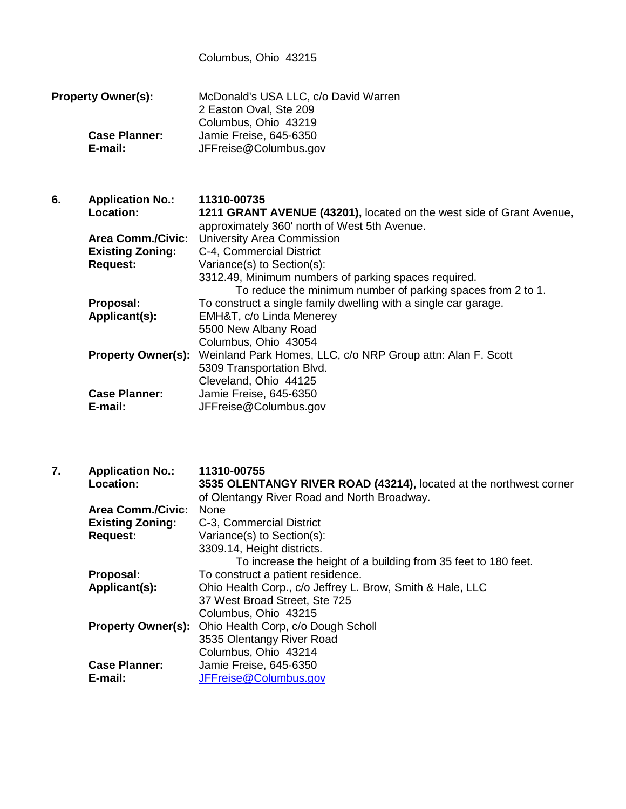Columbus, Ohio 43215

**Property Owner(s):** McDonald's USA LLC, c/o David Warren 2 Easton Oval, Ste 209 Columbus, Ohio 43219 **Case Planner:** Jamie Freise, 645-6350 **E-mail:** JFFreise@Columbus.gov

**6. Application No.: 11310-00735 Location: 1211 GRANT AVENUE (43201),** located on the west side of Grant Avenue, approximately 360' north of West 5th Avenue. **Area Comm./Civic:** University Area Commission **Existing Zoning:** C-4, Commercial District **Request:** Variance(s) to Section(s): 3312.49, Minimum numbers of parking spaces required. To reduce the minimum number of parking spaces from 2 to 1. **Proposal:** To construct a single family dwelling with a single car garage.<br>**Applicant(s):** EMH&T, c/o Linda Menerey **Applicant(s):** EMH&T, c/o Linda Menerey 5500 New Albany Road Columbus, Ohio 43054 **Property Owner(s):** Weinland Park Homes, LLC, c/o NRP Group attn: Alan F. Scott 5309 Transportation Blvd. Cleveland, Ohio 44125 **Case Planner:** Jamie Freise, 645-6350 **E-mail:** JFFreise@Columbus.gov

**7. Application No.: 11310-00755 Location: 3535 OLENTANGY RIVER ROAD (43214),** located at the northwest corner of Olentangy River Road and North Broadway. **Area Comm./Civic:** None **Existing Zoning:** C-3, Commercial District **Request:** Variance(s) to Section(s): 3309.14, Height districts. To increase the height of a building from 35 feet to 180 feet. **Proposal:** To construct a patient residence. **Applicant(s):** Ohio Health Corp., c/o Jeffrey L. Brow, Smith & Hale, LLC 37 West Broad Street, Ste 725 Columbus, Ohio 43215 **Property Owner(s):** Ohio Health Corp, c/o Dough Scholl 3535 Olentangy River Road Columbus, Ohio 43214 **Case Planner:** Jamie Freise, 645-6350<br>**F-mail:** JEFreise@Columbus.go **E-mail:** [JFFreise@Columbus.gov](mailto:JFFreise@Columbus.gov)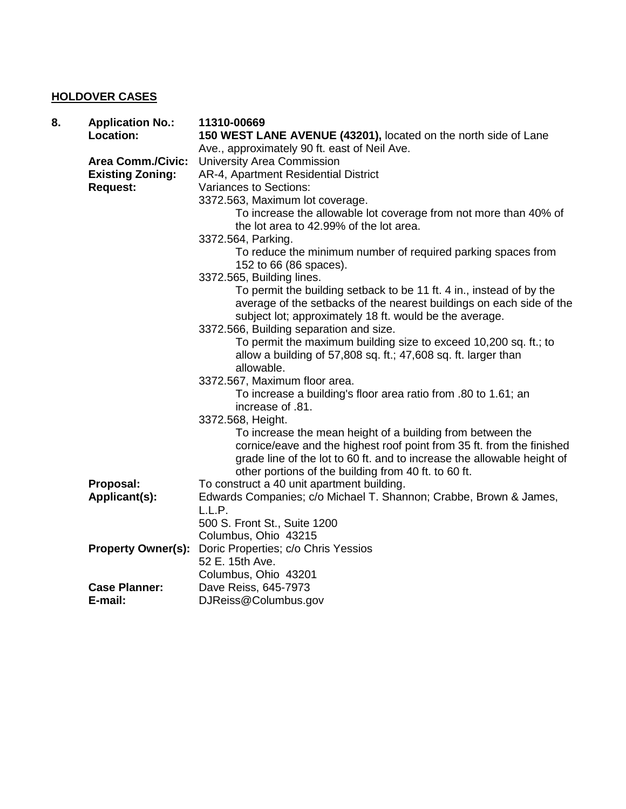## **HOLDOVER CASES**

| 8. | <b>Application No.:</b><br>Location: | 11310-00669<br>150 WEST LANE AVENUE (43201), located on the north side of Lane |
|----|--------------------------------------|--------------------------------------------------------------------------------|
|    |                                      | Ave., approximately 90 ft. east of Neil Ave.                                   |
|    | <b>Area Comm./Civic:</b>             | University Area Commission                                                     |
|    | <b>Existing Zoning:</b>              | AR-4, Apartment Residential District                                           |
|    | <b>Request:</b>                      | Variances to Sections:                                                         |
|    |                                      | 3372.563, Maximum lot coverage.                                                |
|    |                                      | To increase the allowable lot coverage from not more than 40% of               |
|    |                                      | the lot area to 42.99% of the lot area.                                        |
|    |                                      | 3372.564, Parking.                                                             |
|    |                                      | To reduce the minimum number of required parking spaces from                   |
|    |                                      | 152 to 66 (86 spaces).                                                         |
|    |                                      | 3372.565, Building lines.                                                      |
|    |                                      | To permit the building setback to be 11 ft. 4 in., instead of by the           |
|    |                                      | average of the setbacks of the nearest buildings on each side of the           |
|    |                                      | subject lot; approximately 18 ft. would be the average.                        |
|    |                                      | 3372.566, Building separation and size.                                        |
|    |                                      | To permit the maximum building size to exceed 10,200 sq. ft.; to               |
|    |                                      | allow a building of 57,808 sq. ft.; 47,608 sq. ft. larger than                 |
|    |                                      | allowable.                                                                     |
|    |                                      | 3372.567, Maximum floor area.                                                  |
|    |                                      | To increase a building's floor area ratio from .80 to 1.61; an                 |
|    |                                      | increase of .81.                                                               |
|    |                                      | 3372.568, Height.                                                              |
|    |                                      | To increase the mean height of a building from between the                     |
|    |                                      | cornice/eave and the highest roof point from 35 ft. from the finished          |
|    |                                      | grade line of the lot to 60 ft. and to increase the allowable height of        |
|    |                                      | other portions of the building from 40 ft. to 60 ft.                           |
|    | Proposal:                            | To construct a 40 unit apartment building.                                     |
|    | Applicant(s):                        | Edwards Companies; c/o Michael T. Shannon; Crabbe, Brown & James,              |
|    |                                      | L.L.P.                                                                         |
|    |                                      | 500 S. Front St., Suite 1200                                                   |
|    |                                      | Columbus, Ohio 43215                                                           |
|    | <b>Property Owner(s):</b>            | Doric Properties; c/o Chris Yessios                                            |
|    |                                      | 52 E. 15th Ave.                                                                |
|    |                                      | Columbus, Ohio 43201                                                           |
|    | <b>Case Planner:</b>                 | Dave Reiss, 645-7973                                                           |
|    | E-mail:                              | DJReiss@Columbus.gov                                                           |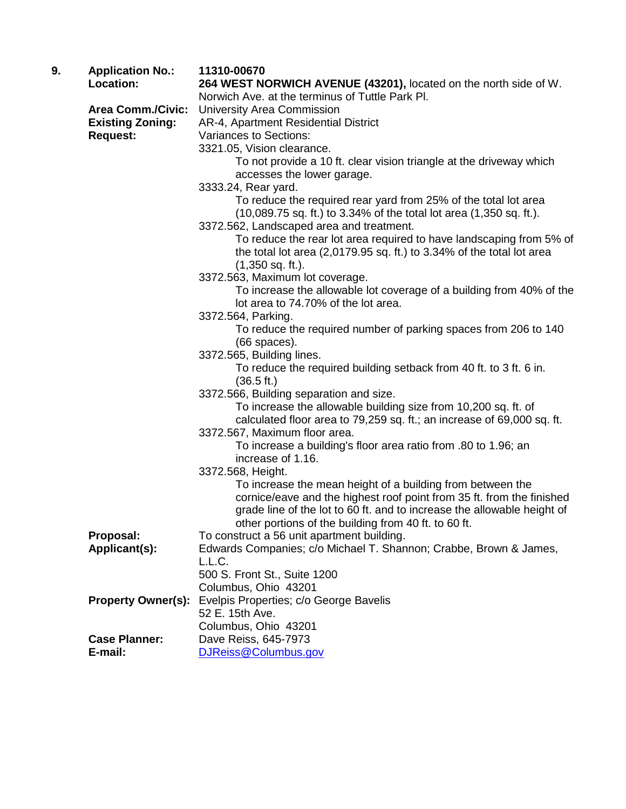| 9. | <b>Application No.:</b>   | 11310-00670                                                                                     |
|----|---------------------------|-------------------------------------------------------------------------------------------------|
|    | Location:                 | 264 WEST NORWICH AVENUE (43201), located on the north side of W.                                |
|    |                           | Norwich Ave. at the terminus of Tuttle Park PI.                                                 |
|    | <b>Area Comm./Civic:</b>  | University Area Commission                                                                      |
|    | <b>Existing Zoning:</b>   | AR-4, Apartment Residential District                                                            |
|    | <b>Request:</b>           | <b>Variances to Sections:</b>                                                                   |
|    |                           | 3321.05, Vision clearance.                                                                      |
|    |                           | To not provide a 10 ft. clear vision triangle at the driveway which                             |
|    |                           | accesses the lower garage.                                                                      |
|    |                           | 3333.24, Rear yard.                                                                             |
|    |                           | To reduce the required rear yard from 25% of the total lot area                                 |
|    |                           | $(10,089.75 \text{ sq. ft.})$ to 3.34% of the total lot area $(1,350 \text{ sq. ft.})$ .        |
|    |                           | 3372.562, Landscaped area and treatment.                                                        |
|    |                           | To reduce the rear lot area required to have landscaping from 5% of                             |
|    |                           | the total lot area (2,0179.95 sq. ft.) to 3.34% of the total lot area                           |
|    |                           | $(1,350$ sq. ft.).                                                                              |
|    |                           | 3372.563, Maximum lot coverage.                                                                 |
|    |                           | To increase the allowable lot coverage of a building from 40% of the                            |
|    |                           | lot area to 74.70% of the lot area.                                                             |
|    |                           | 3372.564, Parking.                                                                              |
|    |                           | To reduce the required number of parking spaces from 206 to 140                                 |
|    |                           | $(66$ spaces).                                                                                  |
|    |                           | 3372.565, Building lines.                                                                       |
|    |                           | To reduce the required building setback from 40 ft. to 3 ft. 6 in.                              |
|    |                           | (36.5 ft.)                                                                                      |
|    |                           | 3372.566, Building separation and size.                                                         |
|    |                           | To increase the allowable building size from 10,200 sq. ft. of                                  |
|    |                           | calculated floor area to 79,259 sq. ft.; an increase of 69,000 sq. ft.                          |
|    |                           | 3372.567, Maximum floor area.<br>To increase a building's floor area ratio from .80 to 1.96; an |
|    |                           | increase of 1.16.                                                                               |
|    |                           | 3372.568, Height.                                                                               |
|    |                           | To increase the mean height of a building from between the                                      |
|    |                           | cornice/eave and the highest roof point from 35 ft. from the finished                           |
|    |                           | grade line of the lot to 60 ft. and to increase the allowable height of                         |
|    |                           | other portions of the building from 40 ft. to 60 ft.                                            |
|    | Proposal:                 | To construct a 56 unit apartment building.                                                      |
|    | Applicant(s):             | Edwards Companies; c/o Michael T. Shannon; Crabbe, Brown & James,                               |
|    |                           | L.L.C.                                                                                          |
|    |                           | 500 S. Front St., Suite 1200                                                                    |
|    |                           | Columbus, Ohio 43201                                                                            |
|    | <b>Property Owner(s):</b> | Evelpis Properties; c/o George Bavelis                                                          |
|    |                           | 52 E. 15th Ave.                                                                                 |
|    |                           | Columbus, Ohio 43201                                                                            |
|    | <b>Case Planner:</b>      | Dave Reiss, 645-7973                                                                            |
|    | E-mail:                   | DJReiss@Columbus.gov                                                                            |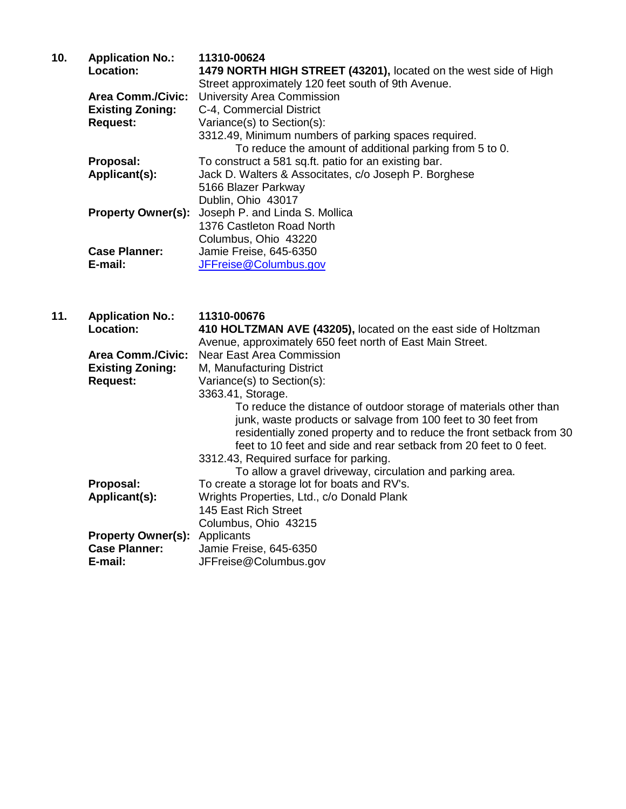| 10. | <b>Application No.:</b>  | 11310-00624                                                      |
|-----|--------------------------|------------------------------------------------------------------|
|     | Location:                | 1479 NORTH HIGH STREET (43201), located on the west side of High |
|     |                          | Street approximately 120 feet south of 9th Avenue.               |
|     | <b>Area Comm./Civic:</b> | University Area Commission                                       |
|     | <b>Existing Zoning:</b>  | C-4, Commercial District                                         |
|     | <b>Request:</b>          | Variance(s) to Section(s):                                       |
|     |                          | 3312.49, Minimum numbers of parking spaces required.             |
|     |                          | To reduce the amount of additional parking from 5 to 0.          |
|     | Proposal:                | To construct a 581 sq.ft. patio for an existing bar.             |
|     | Applicant(s):            | Jack D. Walters & Associtates, c/o Joseph P. Borghese            |
|     |                          | 5166 Blazer Parkway                                              |
|     |                          | Dublin, Ohio 43017                                               |
|     |                          | <b>Property Owner(s):</b> Joseph P. and Linda S. Mollica         |
|     |                          | 1376 Castleton Road North                                        |
|     |                          | Columbus, Ohio 43220                                             |
|     | <b>Case Planner:</b>     | Jamie Freise, 645-6350                                           |
|     | E-mail:                  | JFFreise@Columbus.gov                                            |

| 11. | <b>Application No.:</b><br>Location:                                    | 11310-00676<br>410 HOLTZMAN AVE (43205), located on the east side of Holtzman<br>Avenue, approximately 650 feet north of East Main Street.                                                                                                                                                                                                                                                                  |
|-----|-------------------------------------------------------------------------|-------------------------------------------------------------------------------------------------------------------------------------------------------------------------------------------------------------------------------------------------------------------------------------------------------------------------------------------------------------------------------------------------------------|
|     | <b>Area Comm./Civic:</b><br><b>Existing Zoning:</b>                     | <b>Near East Area Commission</b><br>M, Manufacturing District                                                                                                                                                                                                                                                                                                                                               |
|     | <b>Request:</b>                                                         | Variance(s) to Section(s):                                                                                                                                                                                                                                                                                                                                                                                  |
|     |                                                                         | 3363.41, Storage.<br>To reduce the distance of outdoor storage of materials other than<br>junk, waste products or salvage from 100 feet to 30 feet from<br>residentially zoned property and to reduce the front setback from 30<br>feet to 10 feet and side and rear setback from 20 feet to 0 feet.<br>3312.43, Required surface for parking.<br>To allow a gravel driveway, circulation and parking area. |
|     | Proposal:                                                               | To create a storage lot for boats and RV's.                                                                                                                                                                                                                                                                                                                                                                 |
|     | Applicant(s):                                                           | Wrights Properties, Ltd., c/o Donald Plank<br>145 East Rich Street<br>Columbus, Ohio 43215                                                                                                                                                                                                                                                                                                                  |
|     | <b>Property Owner(s):</b> Applicants<br><b>Case Planner:</b><br>E-mail: | Jamie Freise, 645-6350<br>JFFreise@Columbus.gov                                                                                                                                                                                                                                                                                                                                                             |